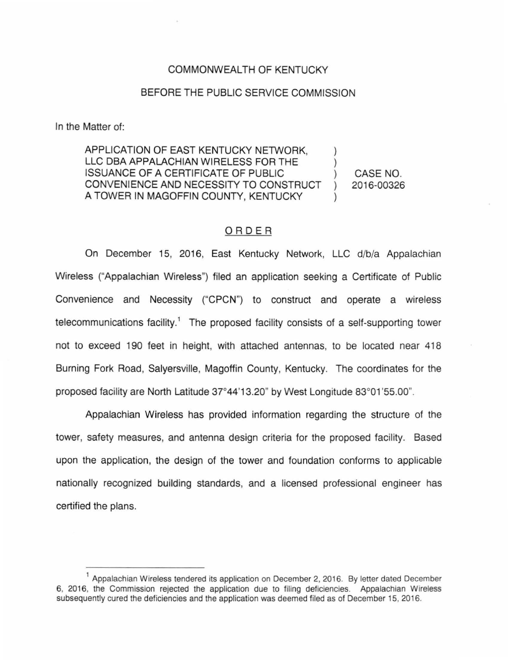## COMMONWEALTH OF KENTUCKY

## BEFORE THE PUBLIC SERVICE COMMISSION

In the Matter of:

APPLICATION OF EAST KENTUCKY NETWORK, LLC DBA APPALACHIAN WIRELESS FOR THE ISSUANCE OF A CERTIFICATE OF PUBLIC CONVENIENCE AND NECESSITY TO CONSTRUCT A TOWER IN MAGOFFIN COUNTY, KENTUCKY

CASE NO. 2016-00326

## ORDER

On December 15, 2016, East Kentucky Network, LLC d/b/a Appalachian Wireless ("Appalachian Wireless") filed an application seeking a Certificate of Public Convenience and Necessity ("CPCN") to construct and operate a wireless telecommunications facility.<sup>1</sup> The proposed facility consists of a self-supporting tower not to exceed 190 feet in height, with attached antennas, to be located near 418 Burning Fork Road, Salyersville, Magoffin County, Kentucky. The coordinates for the proposed facility are North Latitude 37°44'13.20" by West Longitude 83°01'55.00".

Appalachian Wireless has provided information regarding the structure of the tower, safety measures, and antenna design criteria for the proposed facility. Based upon the application, the design of the tower and foundation conforms to applicable nationally recognized building standards, and a licensed professional engineer has certified the plans.

<sup>&</sup>lt;sup>1</sup> Appalachian Wireless tendered its application on December 2, 2016. By letter dated December 6, 2016, the Commission rejected the application due to filing deficiencies. Appalachian Wireless subsequently cured the deficiencies and the application was deemed filed as of December 15, 2016.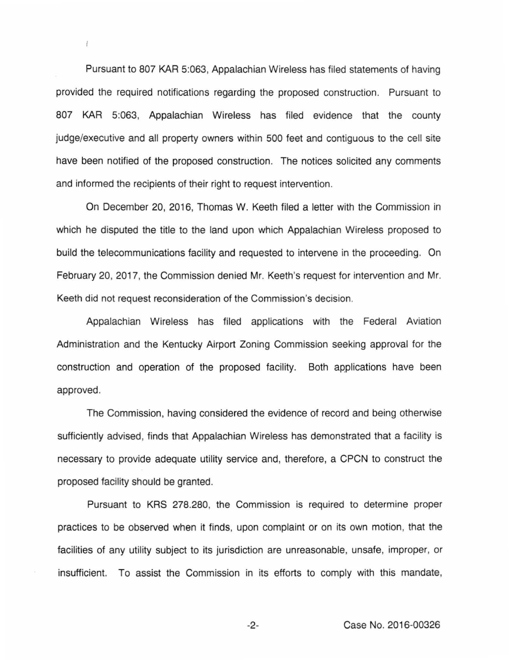Pursuant to 807 KAR 5:063, Appalachian Wireless has filed statements of having provided the required notifications regarding the proposed construction. Pursuant to 807 KAR 5:063, Appalachian Wireless has filed evidence that the county judge/executive and all property owners within 500 feet and contiguous to the cell site have been notified of the proposed construction. The notices solicited any comments and informed the recipients of their right to request intervention.

ł.

On December 20, 2016, Thomas W. Keeth filed a letter with the Commission in which he disputed the title to the land upon which Appalachian Wireless proposed to build the telecommunications facility and requested to intervene in the proceeding. On February 20, 2017, the Commission denied Mr. Keeth's request for intervention and Mr. Keeth did not request reconsideration of the Commission's decision.

Appalachian Wireless has filed applications with the Federal Aviation Administration and the Kentucky Airport Zoning Commission seeking approval for the construction and operation of the proposed facility. Both applications have been approved.

The Commission, having considered the evidence of record and being otherwise sufficiently advised, finds that Appalachian Wireless has demonstrated that a facility is necessary to provide adequate utility service and, therefore, a CPCN to construct the proposed facility should be granted.

Pursuant to KRS 278.280, the Commission is required to determine proper practices to be observed when it finds, upon complaint or on its own motion, that the facilities of any utility subject to its jurisdiction are unreasonable, unsafe, improper, or insufficient. To assist the Commission in its efforts to comply with this mandate,

-2- Case No. 2016-00326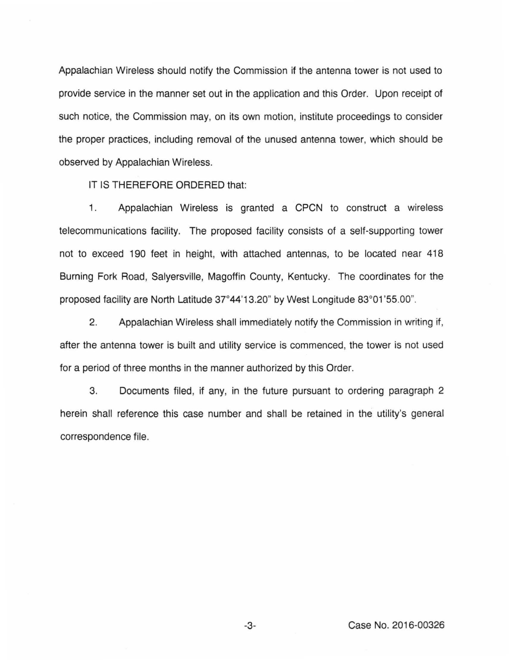Appalachian Wireless should notify the Commission if the antenna tower is not used to provide service in the manner set out in the application and this Order. Upon receipt of such notice, the Commission may, on its own motion, institute proceedings to consider the proper practices, including removal of the unused antenna tower, which should be observed by Appalachian Wireless.

IT IS THEREFORE ORDERED that:

1. Appalachian Wireless is granted a CPCN to construct a wireless telecommunications facility. The proposed facility consists of a self-supporting tower not to exceed 190 feet in height, with attached antennas, to be located near 418 Burning Fork Road, Salyersville, Magoffin County, Kentucky. The coordinates for the proposed facility are North Latitude 37°44'13.20" by West Longitude 83°01'55.00".

2. Appalachian Wireless shall immediately notify the Commission in writing if, after the antenna tower is built and utility service is commenced, the tower is not used for a period of three months in the manner authorized by this Order.

3. Documents filed, if any, in the future pursuant to ordering paragraph 2 herein shall reference this case number and shall be retained in the utility's general correspondence file.

-3- Case No. 2016-00326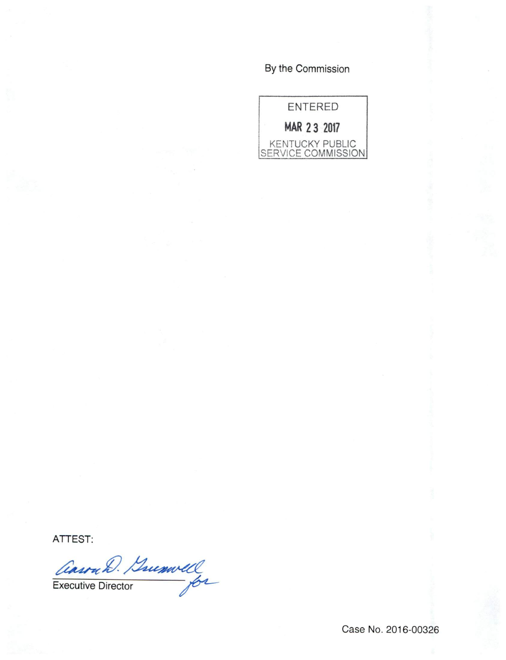## By the Commission

ENTERED MAR 23 2017 KENTUCKY PUBLIC SERVICE COMMISSION

ATTEST:

Executive Director

Case No. 2016-00326